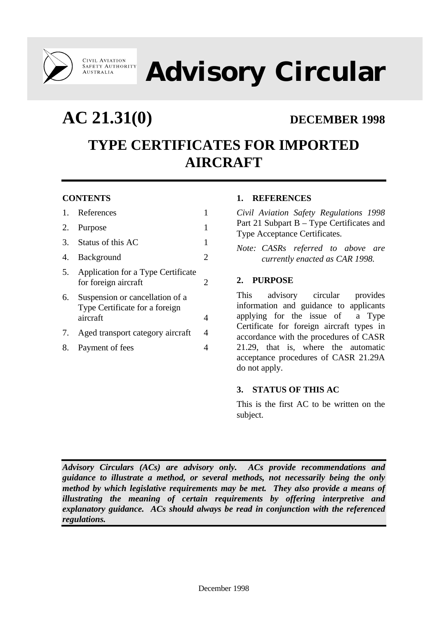

**Advisory Circular**

**AC 21.31(0) DECEMBER 1998**

# **TYPE CERTIFICATES FOR IMPORTED AIRCRAFT**

# **CONTENTS**

|    | 1. References                                                                 |   |
|----|-------------------------------------------------------------------------------|---|
|    | 2. Purpose                                                                    |   |
|    | 3. Status of this AC                                                          | 1 |
| 4. | Background                                                                    | 2 |
| 5. | Application for a Type Certificate<br>for foreign aircraft                    | 2 |
| 6. | Suspension or cancellation of a<br>Type Certificate for a foreign<br>aircraft | 4 |
| 7. | Aged transport category aircraft                                              | 4 |
| 8. | Payment of fees                                                               |   |
|    |                                                                               |   |

# **1. REFERENCES**

*Civil Aviation Safety Regulations 1998* Part 21 Subpart B – Type Certificates and Type Acceptance Certificates.

*Note: CASRs referred to above are currently enacted as CAR 1998.*

### **2. PURPOSE**

This advisory circular provides information and guidance to applicants applying for the issue of a Type Certificate for foreign aircraft types in accordance with the procedures of CASR 21.29, that is, where the automatic acceptance procedures of CASR 21.29A do not apply.

# **3. STATUS OF THIS AC**

This is the first AC to be written on the subject.

*Advisory Circulars (ACs) are advisory only. ACs provide recommendations and guidance to illustrate a method, or several methods, not necessarily being the only method by which legislative requirements may be met. They also provide a means of illustrating the meaning of certain requirements by offering interpretive and explanatory guidance. ACs should always be read in conjunction with the referenced regulations.*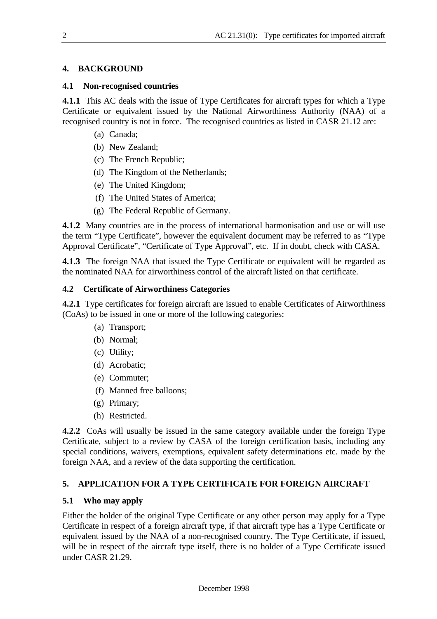### **4. BACKGROUND**

#### **4.1 Non-recognised countries**

**4.1.1** This AC deals with the issue of Type Certificates for aircraft types for which a Type Certificate or equivalent issued by the National Airworthiness Authority (NAA) of a recognised country is not in force. The recognised countries as listed in CASR 21.12 are:

- (a) Canada;
- (b) New Zealand;
- (c) The French Republic;
- (d) The Kingdom of the Netherlands;
- (e) The United Kingdom;
- (f) The United States of America;
- (g) The Federal Republic of Germany.

**4.1.2** Many countries are in the process of international harmonisation and use or will use the term "Type Certificate", however the equivalent document may be referred to as "Type Approval Certificate", "Certificate of Type Approval", etc. If in doubt, check with CASA.

**4.1.3** The foreign NAA that issued the Type Certificate or equivalent will be regarded as the nominated NAA for airworthiness control of the aircraft listed on that certificate.

#### **4.2 Certificate of Airworthiness Categories**

**4.2.1** Type certificates for foreign aircraft are issued to enable Certificates of Airworthiness (CoAs) to be issued in one or more of the following categories:

- (a) Transport;
- (b) Normal;
- (c) Utility;
- (d) Acrobatic;
- (e) Commuter;
- (f) Manned free balloons;
- (g) Primary;
- (h) Restricted.

**4.2.2** CoAs will usually be issued in the same category available under the foreign Type Certificate, subject to a review by CASA of the foreign certification basis, including any special conditions, waivers, exemptions, equivalent safety determinations etc. made by the foreign NAA, and a review of the data supporting the certification.

# **5. APPLICATION FOR A TYPE CERTIFICATE FOR FOREIGN AIRCRAFT**

#### **5.1 Who may apply**

Either the holder of the original Type Certificate or any other person may apply for a Type Certificate in respect of a foreign aircraft type, if that aircraft type has a Type Certificate or equivalent issued by the NAA of a non-recognised country. The Type Certificate, if issued, will be in respect of the aircraft type itself, there is no holder of a Type Certificate issued under CASR 21.29.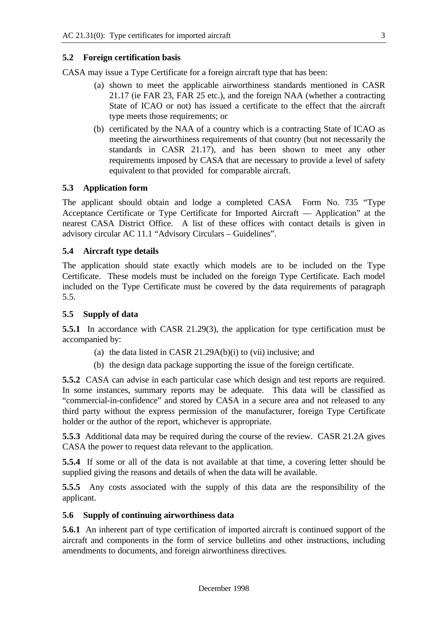#### **5.2 Foreign certification basis**

CASA may issue a Type Certificate for a foreign aircraft type that has been:

- (a) shown to meet the applicable airworthiness standards mentioned in CASR 21.17 (ie FAR 23, FAR 25 etc.), and the foreign NAA (whether a contracting State of ICAO or not) has issued a certificate to the effect that the aircraft type meets those requirements; or
- (b) certificated by the NAA of a country which is a contracting State of ICAO as meeting the airworthiness requirements of that country (but not necessarily the standards in CASR 21.17), and has been shown to meet any other requirements imposed by CASA that are necessary to provide a level of safety equivalent to that provided for comparable aircraft.

#### **5.3 Application form**

The applicant should obtain and lodge a completed CASA Form No. 735 "Type Acceptance Certificate or Type Certificate for Imported Aircraft — Application" at the nearest CASA District Office. A list of these offices with contact details is given in advisory circular AC 11.1 "Advisory Circulars – Guidelines".

#### **5.4 Aircraft type details**

The application should state exactly which models are to be included on the Type Certificate. These models must be included on the foreign Type Certificate. Each model included on the Type Certificate must be covered by the data requirements of paragraph 5.5.

#### **5.5 Supply of data**

**5.5.1** In accordance with CASR 21.29(3), the application for type certification must be accompanied by:

- (a) the data listed in CASR 21.29A(b)(i) to (vii) inclusive; and
- (b) the design data package supporting the issue of the foreign certificate.

**5.5.2** CASA can advise in each particular case which design and test reports are required. In some instances, summary reports may be adequate. This data will be classified as "commercial-in-confidence" and stored by CASA in a secure area and not released to any third party without the express permission of the manufacturer, foreign Type Certificate holder or the author of the report, whichever is appropriate.

**5.5.3** Additional data may be required during the course of the review. CASR 21.2A gives CASA the power to request data relevant to the application.

**5.5.4** If some or all of the data is not available at that time, a covering letter should be supplied giving the reasons and details of when the data will be available.

**5.5.5** Any costs associated with the supply of this data are the responsibility of the applicant.

#### **5.6 Supply of continuing airworthiness data**

**5.6.1** An inherent part of type certification of imported aircraft is continued support of the aircraft and components in the form of service bulletins and other instructions, including amendments to documents, and foreign airworthiness directives.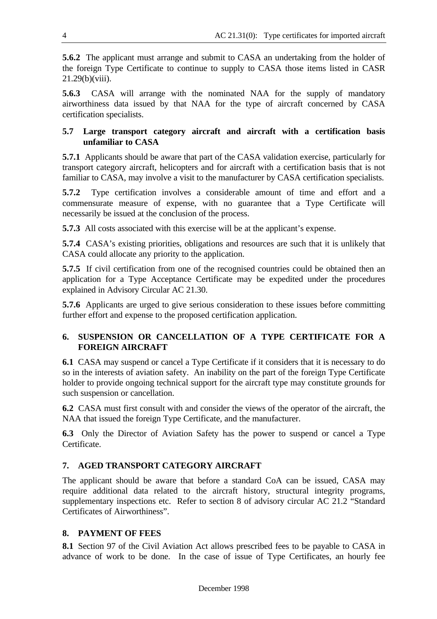**5.6.2** The applicant must arrange and submit to CASA an undertaking from the holder of the foreign Type Certificate to continue to supply to CASA those items listed in CASR 21.29(b)(viii).

**5.6.3** CASA will arrange with the nominated NAA for the supply of mandatory airworthiness data issued by that NAA for the type of aircraft concerned by CASA certification specialists.

# **5.7 Large transport category aircraft and aircraft with a certification basis unfamiliar to CASA**

**5.7.1** Applicants should be aware that part of the CASA validation exercise, particularly for transport category aircraft, helicopters and for aircraft with a certification basis that is not familiar to CASA, may involve a visit to the manufacturer by CASA certification specialists.

**5.7.2** Type certification involves a considerable amount of time and effort and a commensurate measure of expense, with no guarantee that a Type Certificate will necessarily be issued at the conclusion of the process.

**5.7.3** All costs associated with this exercise will be at the applicant's expense.

**5.7.4** CASA's existing priorities, obligations and resources are such that it is unlikely that CASA could allocate any priority to the application.

**5.7.5** If civil certification from one of the recognised countries could be obtained then an application for a Type Acceptance Certificate may be expedited under the procedures explained in Advisory Circular AC 21.30.

**5.7.6** Applicants are urged to give serious consideration to these issues before committing further effort and expense to the proposed certification application.

# **6. SUSPENSION OR CANCELLATION OF A TYPE CERTIFICATE FOR A FOREIGN AIRCRAFT**

**6.1** CASA may suspend or cancel a Type Certificate if it considers that it is necessary to do so in the interests of aviation safety. An inability on the part of the foreign Type Certificate holder to provide ongoing technical support for the aircraft type may constitute grounds for such suspension or cancellation.

**6.2** CASA must first consult with and consider the views of the operator of the aircraft, the NAA that issued the foreign Type Certificate, and the manufacturer.

**6.3** Only the Director of Aviation Safety has the power to suspend or cancel a Type Certificate.

# **7. AGED TRANSPORT CATEGORY AIRCRAFT**

The applicant should be aware that before a standard CoA can be issued, CASA may require additional data related to the aircraft history, structural integrity programs, supplementary inspections etc. Refer to section 8 of advisory circular AC 21.2 "Standard Certificates of Airworthiness".

# **8. PAYMENT OF FEES**

**8.1** Section 97 of the Civil Aviation Act allows prescribed fees to be payable to CASA in advance of work to be done. In the case of issue of Type Certificates, an hourly fee